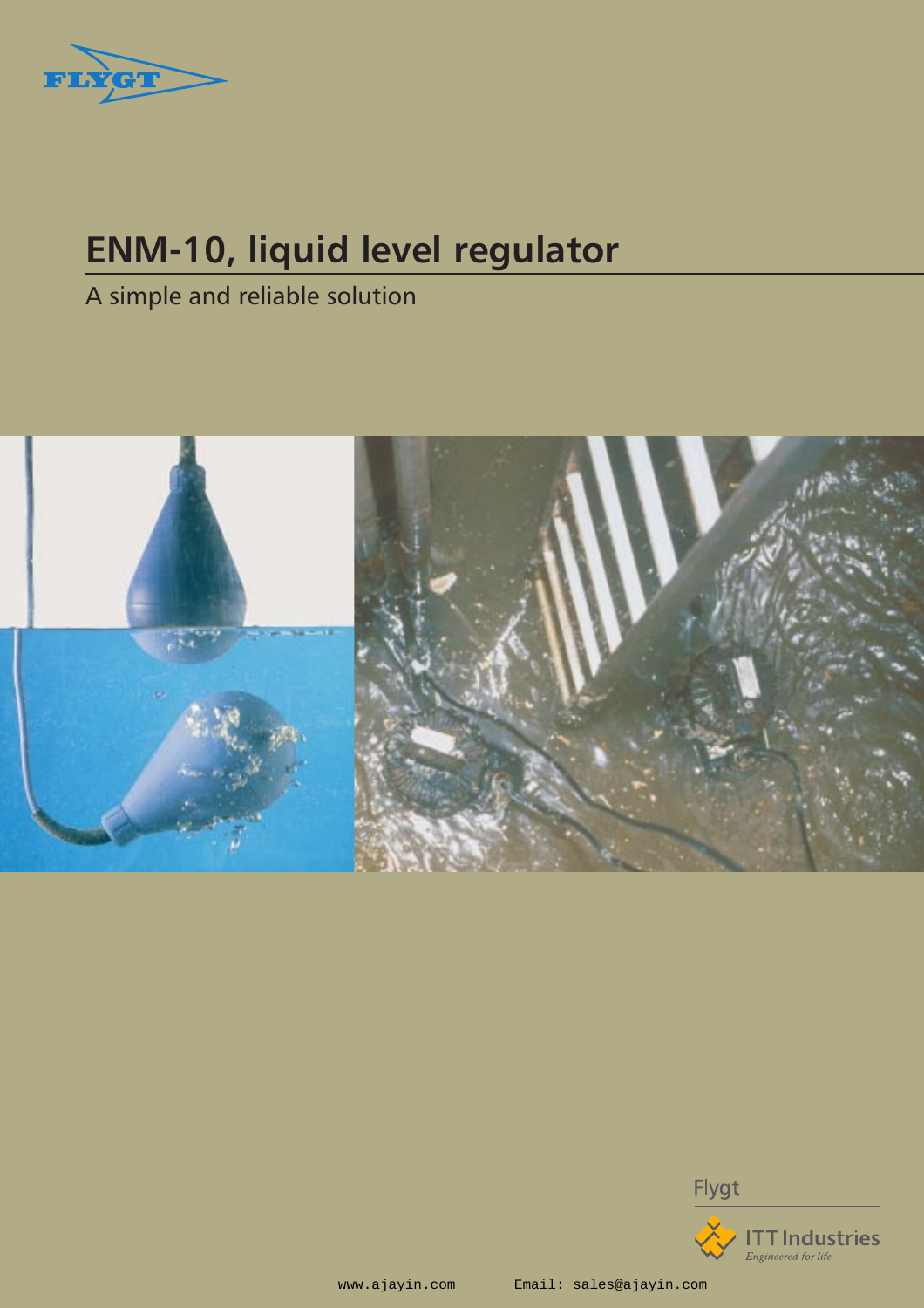

# **ENM-10, liquid level regulator**

A simple and reliable solution



Flygt



www.ajayin.com Email: sales@ajayin.com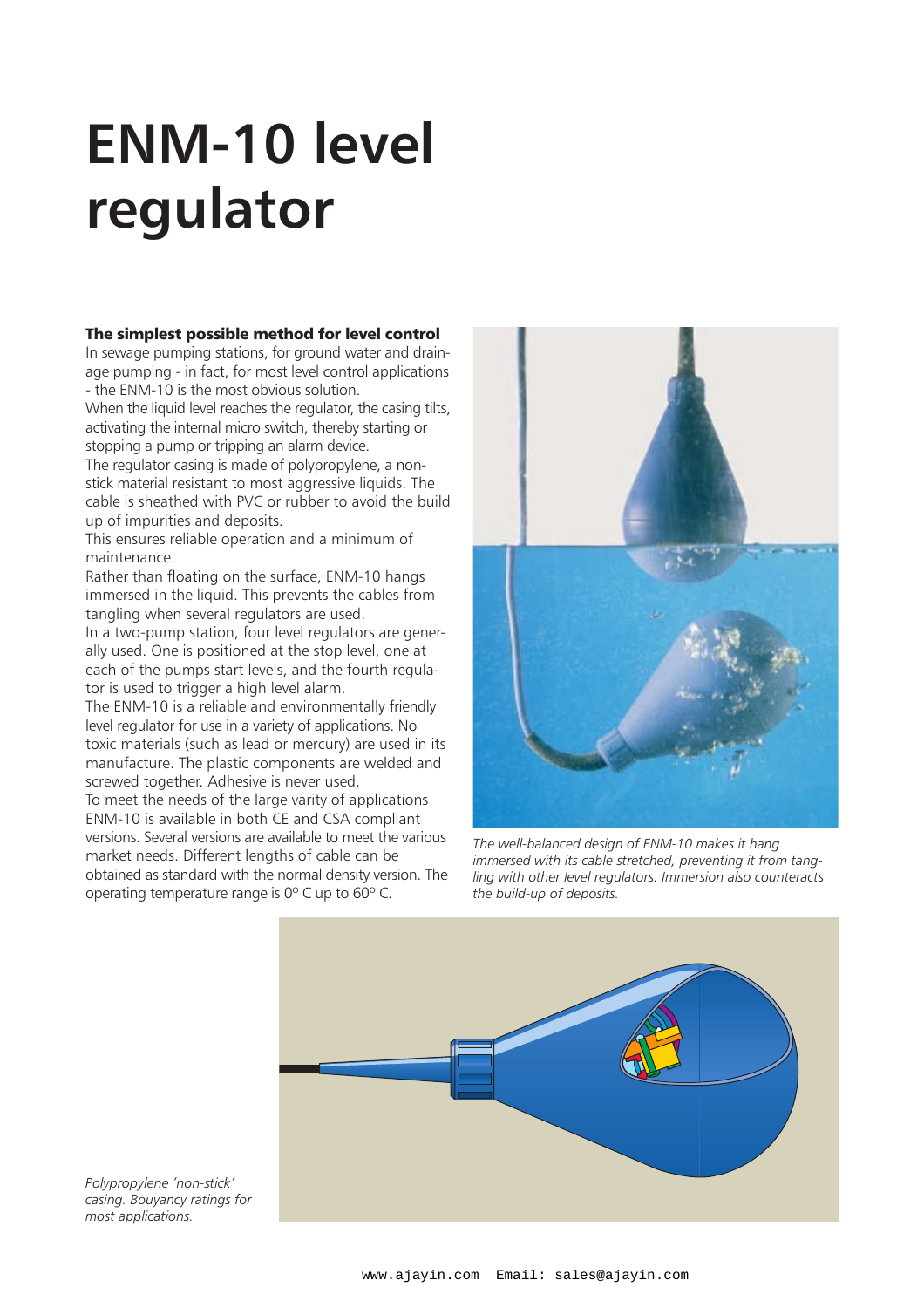# **ENM-10 level regulator**

### The simplest possible method for level control

In sewage pumping stations, for ground water and drainage pumping - in fact, for most level control applications - the ENM-10 is the most obvious solution.

When the liquid level reaches the regulator, the casing tilts, activating the internal micro switch, thereby starting or stopping a pump or tripping an alarm device.

The regulator casing is made of polypropylene, a nonstick material resistant to most aggressive liquids. The cable is sheathed with PVC or rubber to avoid the build up of impurities and deposits.

This ensures reliable operation and a minimum of maintenance.

Rather than floating on the surface, ENM-10 hangs immersed in the liquid. This prevents the cables from tangling when several regulators are used.

In a two-pump station, four level regulators are generally used. One is positioned at the stop level, one at each of the pumps start levels, and the fourth regulator is used to trigger a high level alarm.

The ENM-10 is a reliable and environmentally friendly level regulator for use in a variety of applications. No toxic materials (such as lead or mercury) are used in its manufacture. The plastic components are welded and screwed together. Adhesive is never used.

To meet the needs of the large varity of applications ENM-10 is available in both CE and CSA compliant versions. Several versions are available to meet the various market needs. Different lengths of cable can be obtained as standard with the normal density version. The operating temperature range is 0º C up to 60º C.



*The well-balanced design of ENM-10 makes it hang immersed with its cable stretched, preventing it from tangling with other level regulators. Immersion also counteracts the build-up of deposits.*



*Polypropylene 'non-stick' casing. Bouyancy ratings for most applications.*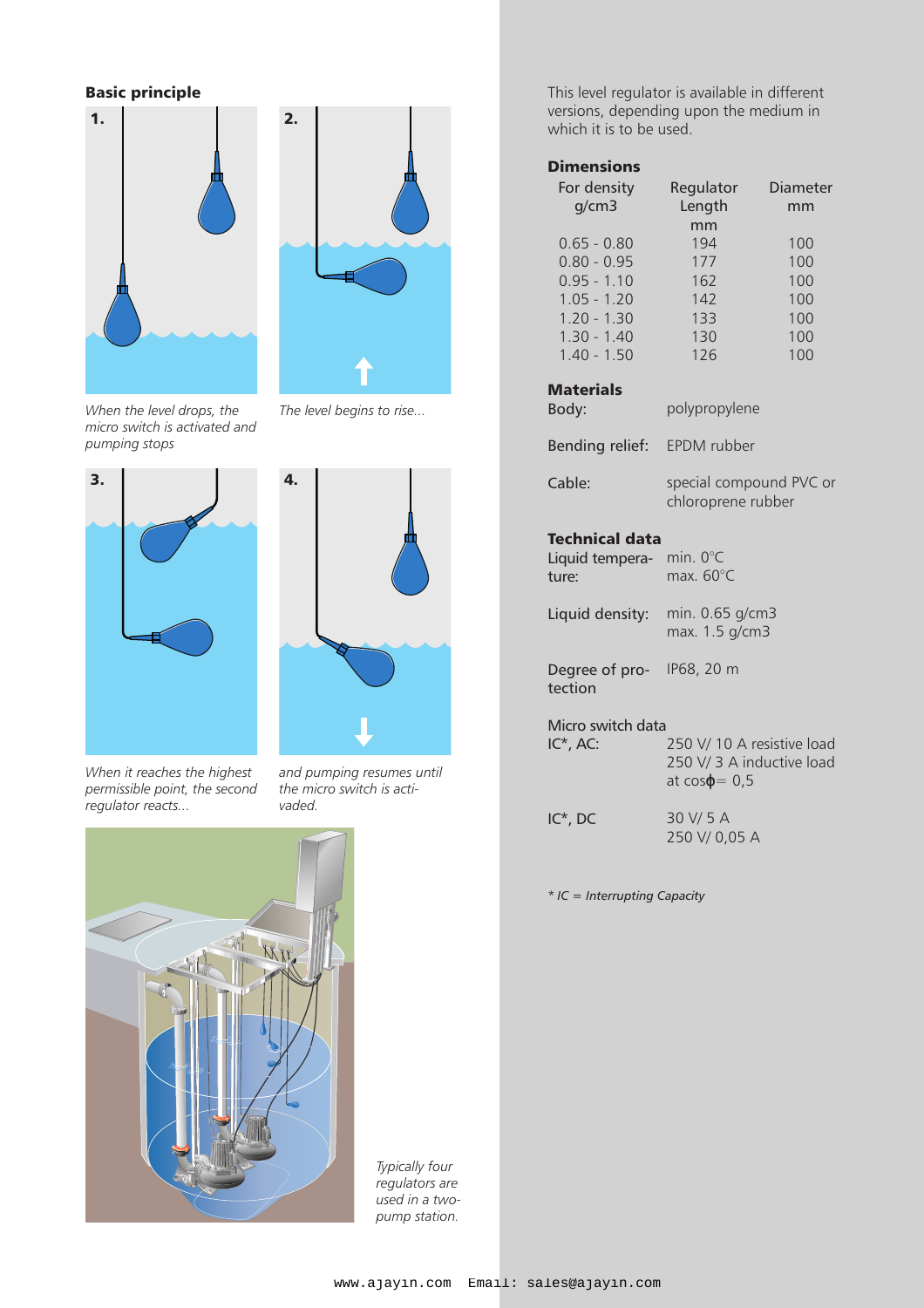# Basic principle





*When the level drops, the micro switch is activated and pumping stops* 





*When it reaches the highest permissible point, the second regulator reacts...*

*and pumping resumes until the micro switch is activaded.*



*Typically four regulators are used in a twopump station.*

This level regulator is available in different versions, depending upon the medium in which it is to be used.

## **Dimensions**

| For density<br>q/cm3 | Regulator<br>Length | Diameter<br>mm |
|----------------------|---------------------|----------------|
|                      | mm                  |                |
| $0.65 - 0.80$        | 194                 | 100            |
| $0.80 - 0.95$        | 177                 | 100            |
| $0.95 - 1.10$        | 162                 | 100            |
| $1.05 - 1.20$        | 142                 | 100            |
| $1.20 - 1.30$        | 133                 | 100            |
| $1.30 - 1.40$        | 130                 | 100            |
| $1.40 - 1.50$        | 126                 | 100            |
|                      |                     |                |

### **Materials**

| Body:                                             | polypropylene                                                                    |  |
|---------------------------------------------------|----------------------------------------------------------------------------------|--|
| Bending relief: EPDM rubber                       |                                                                                  |  |
| Cable:                                            | special compound PVC or<br>chloroprene rubber                                    |  |
| <b>Technical data</b><br>Liquid tempera-<br>ture: | min. $0^{\circ}$ C<br>max. 60°C                                                  |  |
| Liquid density: min. 0.65 g/cm3                   | max. 1.5 g/cm3                                                                   |  |
| Degree of pro- IP68, 20 m<br>tection              |                                                                                  |  |
| Micro switch data<br>$IC^*$ , AC:                 | 250 V/ 10 A resistive load<br>250 V/ 3 A inductive load<br>at $cos\varphi = 0.5$ |  |
| $IC^*$ , DC                                       | 30 V/ 5 A<br>250 V/0,05 A                                                        |  |

*\* IC = Interrupting Capacity*